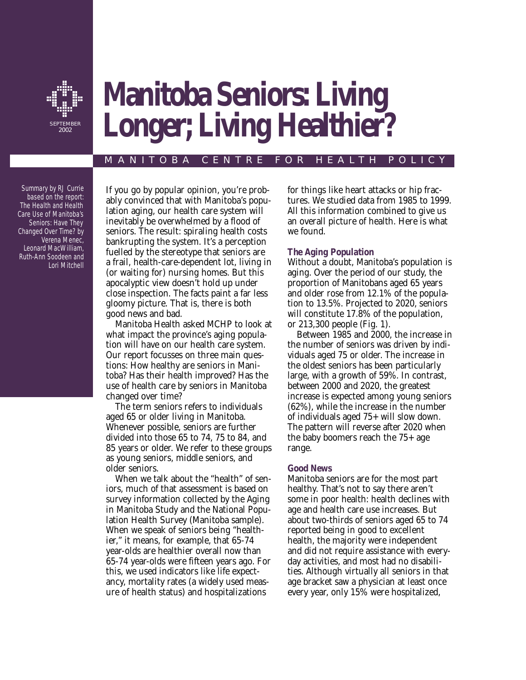

# **Manitoba Seniors: Living Longer; Living Healthier?**

# MANITOBA CENTRE FOR HEALTH POLICY

Summary by RJ Currie based on the report: *The Health and Health Care Use of Manitoba's Seniors: Have They Changed Over Time?* by Verena Menec, Leonard MacWilliam, Ruth-Ann Soodeen and Lori Mitchell

If you go by popular opinion, you're probably convinced that with Manitoba's population aging, our health care system will inevitably be overwhelmed by a flood of seniors. The result: spiraling health costs bankrupting the system. It's a perception fuelled by the stereotype that seniors are a frail, health-care-dependent lot, living in (or waiting for) nursing homes. But this apocalyptic view doesn't hold up under close inspection. The facts paint a far less gloomy picture. That is, there is both good news and bad.

Manitoba Health asked MCHP to look at what impact the province's aging population will have on our health care system. Our report focusses on three main questions: How healthy are seniors in Manitoba? Has their health improved? Has the use of health care by seniors in Manitoba changed over time?

The term *seniors* refers to individuals aged 65 or older living in Manitoba. Whenever possible, seniors are further divided into those 65 to 74, 75 to 84, and 85 years or older. We refer to these groups as young seniors, middle seniors, and older seniors.

When we talk about the "health" of seniors, much of that assessment is based on survey information collected by the Aging in Manitoba Study and the National Population Health Survey (Manitoba sample). When we speak of seniors being "healthier," it means, for example, that 65-74 year-olds are healthier overall now than 65-74 year-olds were fifteen years ago. For this, we used indicators like life expectancy, mortality rates (a widely used measure of health status) and hospitalizations

for things like heart attacks or hip fractures. We studied data from 1985 to 1999. All this information combined to give us an overall picture of health. Here is what we found.

## *The Aging Population*

Without a doubt, Manitoba's population is aging. Over the period of our study, the proportion of Manitobans aged 65 years and older rose from 12.1% of the population to 13.5%. Projected to 2020, seniors will constitute 17.8% of the population, or 213,300 people (Fig. 1).

Between 1985 and 2000, the increase in the number of seniors was driven by individuals aged 75 or older. The increase in the oldest seniors has been particularly large, with a growth of 59%. In contrast, between 2000 and 2020, the greatest increase is expected among young seniors (62%), while the increase in the number of individuals aged 75+ will slow down. The pattern will reverse after 2020 when the baby boomers reach the 75+ age range.

## *Good News*

Manitoba seniors are for the most part healthy. That's not to say there aren't some in poor health: health declines with age and health care use increases. But about two-thirds of seniors aged 65 to 74 reported being in good to excellent health, the majority were independent and did not require assistance with everyday activities, and most had no disabilities. Although virtually all seniors in that age bracket saw a physician at least once every year, only 15% were hospitalized,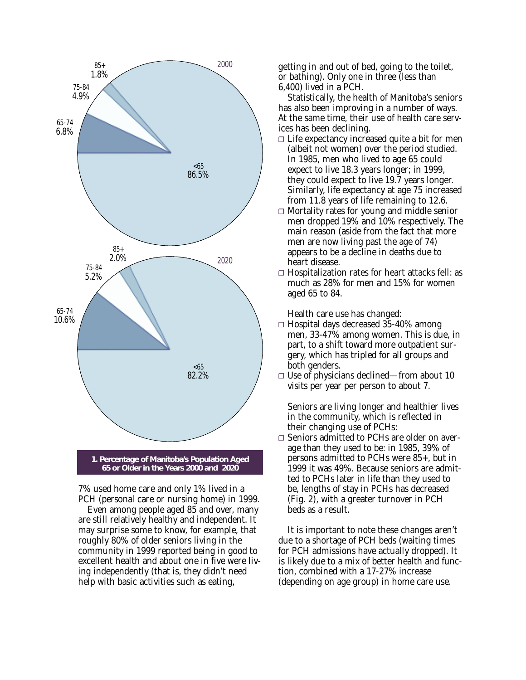

7% used home care and only 1% lived in a PCH (personal care or nursing home) in 1999.

Even among people aged 85 and over, many are still relatively healthy and independent. It may surprise some to know, for example, that roughly 80% of older seniors living in the community in 1999 reported being in good to excellent health and about one in five were living independently (that is, they didn't need help with basic activities such as eating,

getting in and out of bed, going to the toilet, or bathing). Only one in three (less than 6,400) lived in a PCH.

Statistically, the health of Manitoba's seniors has also been improving in a number of ways. At the same time, their use of health care services has been declining.

- $\Box$  Life expectancy increased quite a bit for men (albeit not women) over the period studied. In 1985, men who lived to age 65 could expect to live 18.3 years longer; in 1999, they could expect to live 19.7 years longer. Similarly, life expectancy at age 75 increased from 11.8 years of life remaining to 12.6.
- ❐ Mortality rates for young and middle senior men dropped 19% and 10% respectively. The main reason (aside from the fact that more men are now living past the age of 74) appears to be a decline in deaths due to heart disease.
- ❐ Hospitalization rates for heart attacks fell: as much as 28% for men and 15% for women aged 65 to 84.

Health care use has changed:

- ❐ Hospital days decreased 35-40% among men, 33-47% among women. This is due, in part, to a shift toward more outpatient surgery, which has tripled for all groups and both genders.
- ❐ Use of physicians declined—from about 10 visits per year per person to about 7.

Seniors are living longer and healthier lives in the community, which is reflected in their changing use of PCHs:

❐ Seniors admitted to PCHs are older on average than they used to be: in 1985, 39% of persons admitted to PCHs were 85+, but in 1999 it was 49%. Because seniors are admitted to PCHs later in life than they used to be, lengths of stay in PCHs has decreased (Fig. 2), with a greater turnover in PCH beds as a result.

It is important to note these changes aren't due to a shortage of PCH beds (waiting times for PCH admissions have actually dropped). It is likely due to a mix of better health and function, combined with a 17-27% increase (depending on age group) in home care use.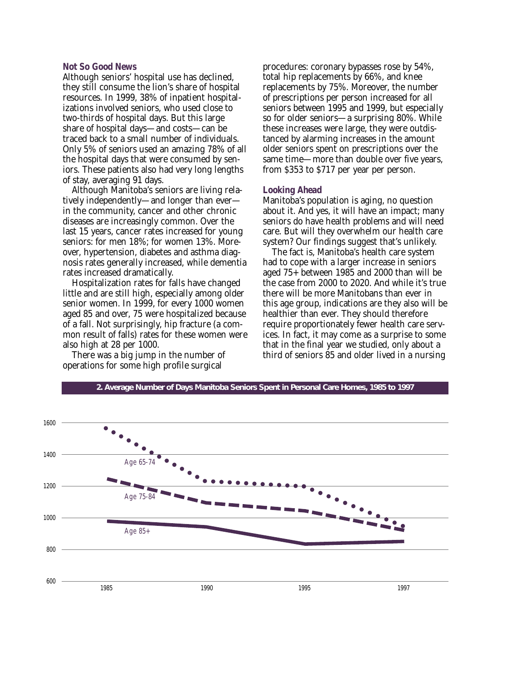#### *Not So Good News*

Although seniors' hospital use has declined, they still consume the lion's share of hospital resources. In 1999, 38% of inpatient hospitalizations involved seniors, who used close to two-thirds of hospital days. But this large share of hospital days—and costs—can be traced back to a small number of individuals. Only 5% of seniors used an amazing 78% of all the hospital days that were consumed by seniors. These patients also had very long lengths of stay, averaging 91 days.

Although Manitoba's seniors are living relatively independently—and longer than ever in the community, cancer and other chronic diseases are increasingly common. Over the last 15 years, cancer rates increased for young seniors: for men 18%; for women 13%. Moreover, hypertension, diabetes and asthma diagnosis rates generally increased, while dementia rates increased dramatically.

Hospitalization rates for falls have changed little and are still high, especially among older senior women. In 1999, for every 1000 women aged 85 and over, 75 were hospitalized because of a fall. Not surprisingly, hip fracture (a common result of falls) rates for these women were also high at 28 per 1000.

There was a big jump in the number of operations for some high profile surgical

procedures: coronary bypasses rose by 54%, total hip replacements by 66%, and knee replacements by 75%. Moreover, the number of prescriptions per person increased for all seniors between 1995 and 1999, but especially so for older seniors—a surprising 80%. While these increases were large, they were outdistanced by alarming increases in the amount older seniors spent on prescriptions over the same time—more than double over five years, from \$353 to \$717 per year per person.

#### *Looking Ahead*

Manitoba's population is aging, no question about it. And yes, it will have an impact; many seniors do have health problems and will need care. But will they overwhelm our health care system? Our findings suggest that's unlikely.

The fact is, Manitoba's health care system had to cope with a larger increase in seniors aged 75+ between 1985 and 2000 than will be the case from 2000 to 2020. And while it's true there will be more Manitobans than ever in this age group, indications are they also will be healthier than ever. They should therefore require proportionately fewer health care services. In fact, it may come as a surprise to some that in the final year we studied, only about a third of seniors 85 and older lived in a nursing